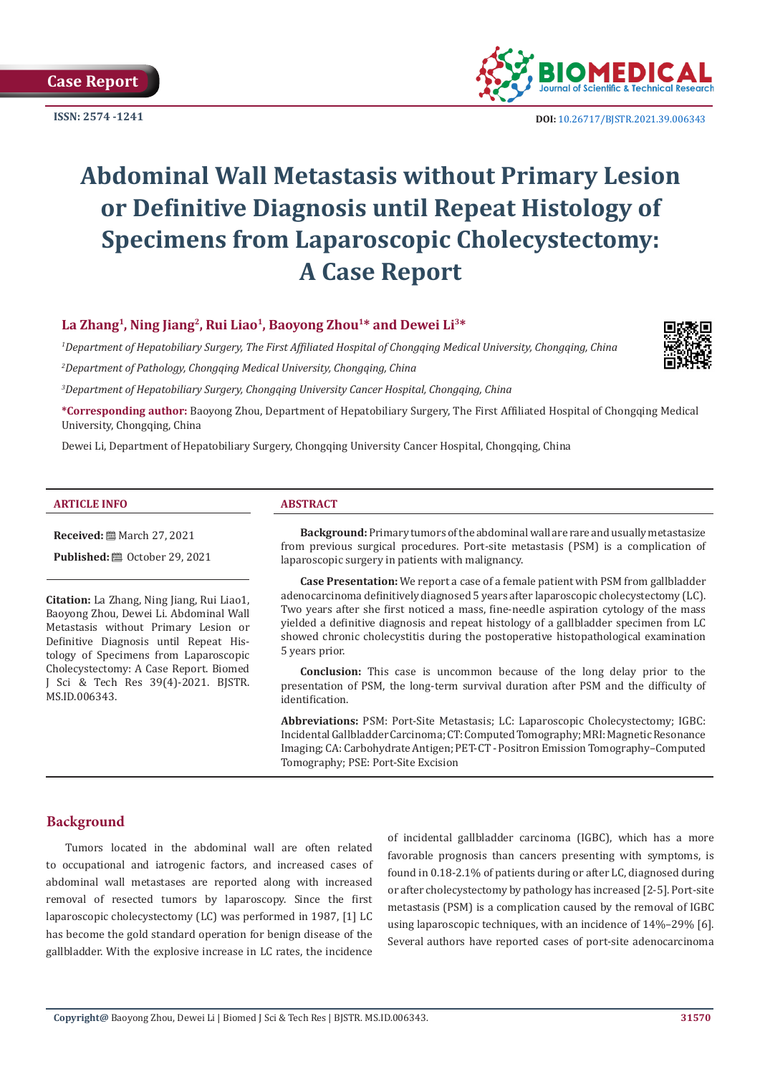**ISSN: 2574 -1241**



 **DOI:** [10.26717/BJSTR.2021.39.006343](https://dx.doi.org/10.26717/BJSTR.2021.39.006343)

# **Abdominal Wall Metastasis without Primary Lesion or Definitive Diagnosis until Repeat Histology of Specimens from Laparoscopic Cholecystectomy: A Case Report**

# La Zhang<sup>1</sup>, Ning Jiang<sup>2</sup>, Rui Liao<sup>1</sup>, Baoyong Zhou<sup>1\*</sup> and Dewei Li<sup>3\*</sup>

*1 Department of Hepatobiliary Surgery, The First Affiliated Hospital of Chongqing Medical University, Chongqing, China 2 Department of Pathology, Chongqing Medical University, Chongqing, China*



**\*Corresponding author:** Baoyong Zhou, Department of Hepatobiliary Surgery, The First Affiliated Hospital of Chongqing Medical University, Chongqing, China

Dewei Li, Department of Hepatobiliary Surgery, Chongqing University Cancer Hospital, Chongqing, China

#### **ARTICLE INFO ABSTRACT**

**Received:** ■ March 27, 2021

**Published: @** October 29, 2021

**Citation:** La Zhang, Ning Jiang, Rui Liao1, Baoyong Zhou, Dewei Li. Abdominal Wall Metastasis without Primary Lesion or Definitive Diagnosis until Repeat Histology of Specimens from Laparoscopic Cholecystectomy: A Case Report. Biomed J Sci & Tech Res 39(4)-2021. BJSTR. MS.ID.006343.

**Background:** Primary tumors of the abdominal wall are rare and usually metastasize from previous surgical procedures. Port-site metastasis (PSM) is a complication of laparoscopic surgery in patients with malignancy.

**Case Presentation:** We report a case of a female patient with PSM from gallbladder adenocarcinoma definitively diagnosed 5 years after laparoscopic cholecystectomy (LC). Two years after she first noticed a mass, fine-needle aspiration cytology of the mass yielded a definitive diagnosis and repeat histology of a gallbladder specimen from LC showed chronic cholecystitis during the postoperative histopathological examination 5 years prior.

**Conclusion:** This case is uncommon because of the long delay prior to the presentation of PSM, the long-term survival duration after PSM and the difficulty of identification.

**Abbreviations:** PSM: Port-Site Metastasis; LC: Laparoscopic Cholecystectomy; IGBC: Incidental Gallbladder Carcinoma; CT: Computed Tomography; MRI: Magnetic Resonance Imaging; CA: Carbohydrate Antigen; PET-CT - Positron Emission Tomography–Computed Tomography; PSE: Port-Site Excision

# **Background**

Tumors located in the abdominal wall are often related to occupational and iatrogenic factors, and increased cases of abdominal wall metastases are reported along with increased removal of resected tumors by laparoscopy. Since the first laparoscopic cholecystectomy (LC) was performed in 1987, [1] LC has become the gold standard operation for benign disease of the gallbladder. With the explosive increase in LC rates, the incidence

of incidental gallbladder carcinoma (IGBC), which has a more favorable prognosis than cancers presenting with symptoms, is found in 0.18-2.1% of patients during or after LC, diagnosed during or after cholecystectomy by pathology has increased [2-5]. Port-site metastasis (PSM) is a complication caused by the removal of IGBC using laparoscopic techniques, with an incidence of 14%–29% [6]. Several authors have reported cases of port-site adenocarcinoma

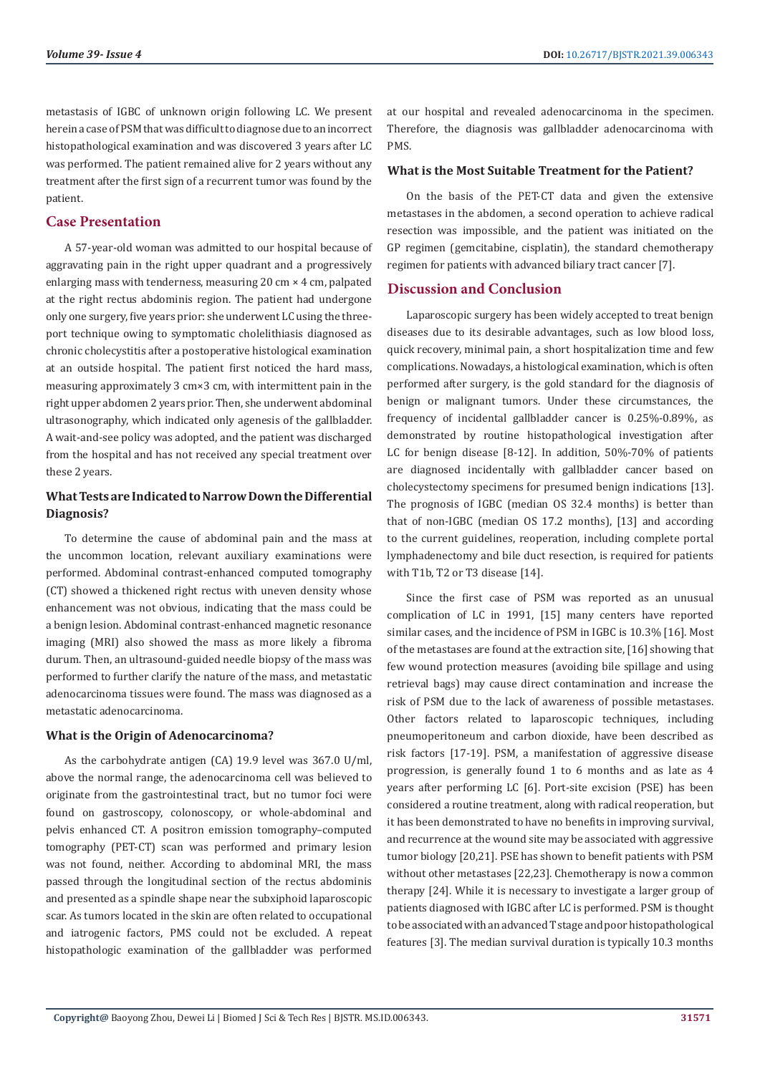metastasis of IGBC of unknown origin following LC. We present herein a case of PSM that was difficult to diagnose due to an incorrect histopathological examination and was discovered 3 years after LC was performed. The patient remained alive for 2 years without any treatment after the first sign of a recurrent tumor was found by the patient.

# **Case Presentation**

A 57-year-old woman was admitted to our hospital because of aggravating pain in the right upper quadrant and a progressively enlarging mass with tenderness, measuring 20 cm × 4 cm, palpated at the right rectus abdominis region. The patient had undergone only one surgery, five years prior: she underwent LC using the threeport technique owing to symptomatic cholelithiasis diagnosed as chronic cholecystitis after a postoperative histological examination at an outside hospital. The patient first noticed the hard mass, measuring approximately 3 cm×3 cm, with intermittent pain in the right upper abdomen 2 years prior. Then, she underwent abdominal ultrasonography, which indicated only agenesis of the gallbladder. A wait-and-see policy was adopted, and the patient was discharged from the hospital and has not received any special treatment over these 2 years.

# **What Tests are Indicated to Narrow Down the Differential Diagnosis?**

To determine the cause of abdominal pain and the mass at the uncommon location, relevant auxiliary examinations were performed. Abdominal contrast-enhanced computed tomography (CT) showed a thickened right rectus with uneven density whose enhancement was not obvious, indicating that the mass could be a benign lesion. Abdominal contrast-enhanced magnetic resonance imaging (MRI) also showed the mass as more likely a fibroma durum. Then, an ultrasound-guided needle biopsy of the mass was performed to further clarify the nature of the mass, and metastatic adenocarcinoma tissues were found. The mass was diagnosed as a metastatic adenocarcinoma.

# **What is the Origin of Adenocarcinoma?**

As the carbohydrate antigen (CA) 19.9 level was 367.0 U/ml, above the normal range, the adenocarcinoma cell was believed to originate from the gastrointestinal tract, but no tumor foci were found on gastroscopy, colonoscopy, or whole-abdominal and pelvis enhanced CT. A positron emission tomography–computed tomography (PET-CT) scan was performed and primary lesion was not found, neither. According to abdominal MRI, the mass passed through the longitudinal section of the rectus abdominis and presented as a spindle shape near the subxiphoid laparoscopic scar. As tumors located in the skin are often related to occupational and iatrogenic factors, PMS could not be excluded. A repeat histopathologic examination of the gallbladder was performed

at our hospital and revealed adenocarcinoma in the specimen. Therefore, the diagnosis was gallbladder adenocarcinoma with PMS.

#### **What is the Most Suitable Treatment for the Patient?**

On the basis of the PET-CT data and given the extensive metastases in the abdomen, a second operation to achieve radical resection was impossible, and the patient was initiated on the GP regimen (gemcitabine, cisplatin), the standard chemotherapy regimen for patients with advanced biliary tract cancer [7].

# **Discussion and Conclusion**

Laparoscopic surgery has been widely accepted to treat benign diseases due to its desirable advantages, such as low blood loss, quick recovery, minimal pain, a short hospitalization time and few complications. Nowadays, a histological examination, which is often performed after surgery, is the gold standard for the diagnosis of benign or malignant tumors. Under these circumstances, the frequency of incidental gallbladder cancer is 0.25%-0.89%, as demonstrated by routine histopathological investigation after LC for benign disease [8-12]. In addition, 50%-70% of patients are diagnosed incidentally with gallbladder cancer based on cholecystectomy specimens for presumed benign indications [13]. The prognosis of IGBC (median OS 32.4 months) is better than that of non-IGBC (median OS 17.2 months), [13] and according to the current guidelines, reoperation, including complete portal lymphadenectomy and bile duct resection, is required for patients with T1b, T2 or T3 disease [14].

Since the first case of PSM was reported as an unusual complication of LC in 1991, [15] many centers have reported similar cases, and the incidence of PSM in IGBC is 10.3% [16]. Most of the metastases are found at the extraction site, [16] showing that few wound protection measures (avoiding bile spillage and using retrieval bags) may cause direct contamination and increase the risk of PSM due to the lack of awareness of possible metastases. Other factors related to laparoscopic techniques, including pneumoperitoneum and carbon dioxide, have been described as risk factors [17-19]. PSM, a manifestation of aggressive disease progression, is generally found 1 to 6 months and as late as 4 years after performing LC [6]. Port-site excision (PSE) has been considered a routine treatment, along with radical reoperation, but it has been demonstrated to have no benefits in improving survival, and recurrence at the wound site may be associated with aggressive tumor biology [20,21]. PSE has shown to benefit patients with PSM without other metastases [22,23]. Chemotherapy is now a common therapy [24]. While it is necessary to investigate a larger group of patients diagnosed with IGBC after LC is performed. PSM is thought to be associated with an advanced T stage and poor histopathological features [3]. The median survival duration is typically 10.3 months